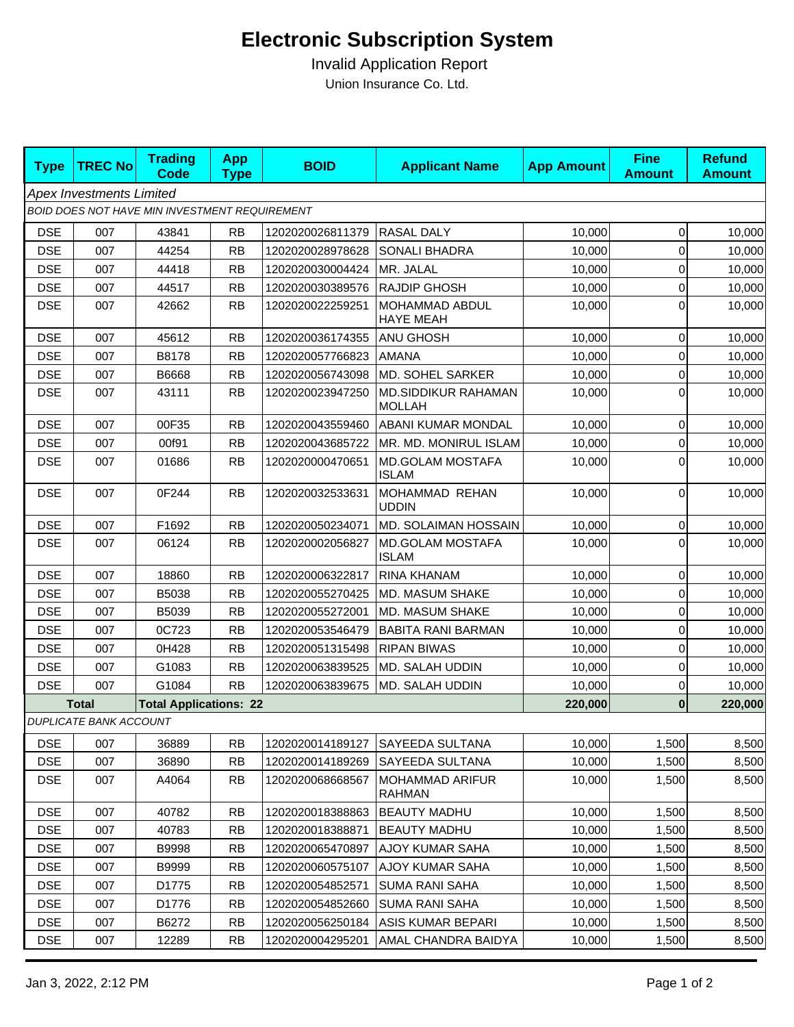## **Electronic Subscription System**

 Invalid Application Report Union Insurance Co. Ltd.

| <b>Type</b>                                   | <b>TREC No</b>                | <b>Trading</b><br><b>Code</b> | <b>App</b><br><b>Type</b> | <b>BOID</b>      | <b>Applicant Name</b>                       | <b>App Amount</b> | <b>Fine</b><br><b>Amount</b> | <b>Refund</b><br><b>Amount</b> |  |  |  |
|-----------------------------------------------|-------------------------------|-------------------------------|---------------------------|------------------|---------------------------------------------|-------------------|------------------------------|--------------------------------|--|--|--|
| <b>Apex Investments Limited</b>               |                               |                               |                           |                  |                                             |                   |                              |                                |  |  |  |
| BOID DOES NOT HAVE MIN INVESTMENT REQUIREMENT |                               |                               |                           |                  |                                             |                   |                              |                                |  |  |  |
| <b>DSE</b>                                    | 007                           | 43841                         | <b>RB</b>                 | 1202020026811379 | <b>RASAL DALY</b>                           | 10,000            | $\mathbf{0}$                 | 10,000                         |  |  |  |
| <b>DSE</b>                                    | 007                           | 44254                         | <b>RB</b>                 | 1202020028978628 | <b>SONALI BHADRA</b>                        | 10,000            | $\overline{0}$               | 10,000                         |  |  |  |
| <b>DSE</b>                                    | 007                           | 44418                         | <b>RB</b>                 | 1202020030004424 | MR. JALAL                                   | 10,000            | $\overline{0}$               | 10,000                         |  |  |  |
| <b>DSE</b>                                    | 007                           | 44517                         | <b>RB</b>                 | 1202020030389576 | <b>RAJDIP GHOSH</b>                         | 10,000            | $\overline{0}$               | 10,000                         |  |  |  |
| <b>DSE</b>                                    | 007                           | 42662                         | <b>RB</b>                 | 1202020022259251 | MOHAMMAD ABDUL<br><b>HAYE MEAH</b>          | 10,000            | $\overline{0}$               | 10,000                         |  |  |  |
| <b>DSE</b>                                    | 007                           | 45612                         | <b>RB</b>                 | 1202020036174355 | ANU GHOSH                                   | 10,000            | $\mathbf 0$                  | 10,000                         |  |  |  |
| <b>DSE</b>                                    | 007                           | B8178                         | <b>RB</b>                 | 1202020057766823 | <b>AMANA</b>                                | 10,000            | $\overline{0}$               | 10,000                         |  |  |  |
| <b>DSE</b>                                    | 007                           | B6668                         | <b>RB</b>                 | 1202020056743098 | MD. SOHEL SARKER                            | 10,000            | $\overline{0}$               | 10,000                         |  |  |  |
| <b>DSE</b>                                    | 007                           | 43111                         | <b>RB</b>                 | 1202020023947250 | <b>MD.SIDDIKUR RAHAMAN</b><br><b>MOLLAH</b> | 10,000            | $\Omega$                     | 10,000                         |  |  |  |
| <b>DSE</b>                                    | 007                           | 00F35                         | <b>RB</b>                 | 1202020043559460 | <b>ABANI KUMAR MONDAL</b>                   | 10,000            | $\overline{0}$               | 10,000                         |  |  |  |
| <b>DSE</b>                                    | 007                           | 00f91                         | <b>RB</b>                 | 1202020043685722 | MR. MD. MONIRUL ISLAM                       | 10,000            | $\mathbf 0$                  | 10,000                         |  |  |  |
| <b>DSE</b>                                    | 007                           | 01686                         | <b>RB</b>                 | 1202020000470651 | MD.GOLAM MOSTAFA<br><b>ISLAM</b>            | 10,000            | $\overline{0}$               | 10,000                         |  |  |  |
| <b>DSE</b>                                    | 007                           | 0F244                         | <b>RB</b>                 | 1202020032533631 | MOHAMMAD REHAN<br><b>UDDIN</b>              | 10,000            | $\overline{0}$               | 10,000                         |  |  |  |
| <b>DSE</b>                                    | 007                           | F1692                         | <b>RB</b>                 | 1202020050234071 | MD. SOLAIMAN HOSSAIN                        | 10,000            | $\overline{0}$               | 10,000                         |  |  |  |
| <b>DSE</b>                                    | 007                           | 06124                         | <b>RB</b>                 | 1202020002056827 | MD.GOLAM MOSTAFA<br><b>ISLAM</b>            | 10,000            | $\Omega$                     | 10,000                         |  |  |  |
| <b>DSE</b>                                    | 007                           | 18860                         | <b>RB</b>                 | 1202020006322817 | RINA KHANAM                                 | 10,000            | $\mathbf{0}$                 | 10,000                         |  |  |  |
| <b>DSE</b>                                    | 007                           | B5038                         | <b>RB</b>                 | 1202020055270425 | <b>MD. MASUM SHAKE</b>                      | 10,000            | $\overline{0}$               | 10,000                         |  |  |  |
| <b>DSE</b>                                    | 007                           | B5039                         | <b>RB</b>                 | 1202020055272001 | MD. MASUM SHAKE                             | 10,000            | $\mathbf{0}$                 | 10,000                         |  |  |  |
| <b>DSE</b>                                    | 007                           | 0C723                         | <b>RB</b>                 | 1202020053546479 | <b>BABITA RANI BARMAN</b>                   | 10,000            | $\overline{0}$               | 10,000                         |  |  |  |
| <b>DSE</b>                                    | 007                           | 0H428                         | <b>RB</b>                 | 1202020051315498 | <b>RIPAN BIWAS</b>                          | 10,000            | $\mathbf 0$                  | 10,000                         |  |  |  |
| <b>DSE</b>                                    | 007                           | G1083                         | <b>RB</b>                 | 1202020063839525 | MD. SALAH UDDIN                             | 10,000            | $\overline{0}$               | 10,000                         |  |  |  |
| <b>DSE</b>                                    | 007                           | G1084                         | <b>RB</b>                 | 1202020063839675 | <b>MD. SALAH UDDIN</b>                      | 10,000            | $\overline{0}$               | 10,000                         |  |  |  |
|                                               | <b>Total</b>                  | <b>Total Applications: 22</b> |                           |                  |                                             | 220,000           | $\bf{0}$                     | 220,000                        |  |  |  |
|                                               | <b>DUPLICATE BANK ACCOUNT</b> |                               |                           |                  |                                             |                   |                              |                                |  |  |  |
| <b>DSE</b>                                    | 007                           | 36889                         | <b>RB</b>                 | 1202020014189127 | SAYEEDA SULTANA                             | 10,000            | 1,500                        | 8,500                          |  |  |  |
| <b>DSE</b>                                    | 007                           | 36890                         | <b>RB</b>                 | 1202020014189269 | <b>SAYEEDA SULTANA</b>                      | 10,000            | 1,500                        | 8,500                          |  |  |  |
| <b>DSE</b>                                    | 007                           | A4064                         | <b>RB</b>                 | 1202020068668567 | <b>MOHAMMAD ARIFUR</b><br><b>RAHMAN</b>     | 10,000            | 1,500                        | 8,500                          |  |  |  |
| <b>DSE</b>                                    | 007                           | 40782                         | <b>RB</b>                 | 1202020018388863 | <b>BEAUTY MADHU</b>                         | 10,000            | 1,500                        | 8,500                          |  |  |  |
| <b>DSE</b>                                    | 007                           | 40783                         | <b>RB</b>                 | 1202020018388871 | <b>BEAUTY MADHU</b>                         | 10,000            | 1,500                        | 8,500                          |  |  |  |
| <b>DSE</b>                                    | 007                           | B9998                         | <b>RB</b>                 | 1202020065470897 | AJOY KUMAR SAHA                             | 10,000            | 1,500                        | 8,500                          |  |  |  |
| <b>DSE</b>                                    | 007                           | B9999                         | <b>RB</b>                 | 1202020060575107 | AJOY KUMAR SAHA                             | 10,000            | 1,500                        | 8,500                          |  |  |  |
| <b>DSE</b>                                    | 007                           | D1775                         | <b>RB</b>                 | 1202020054852571 | <b>SUMA RANI SAHA</b>                       | 10,000            | 1,500                        | 8,500                          |  |  |  |
| <b>DSE</b>                                    | 007                           | D1776                         | <b>RB</b>                 | 1202020054852660 | SUMA RANI SAHA                              | 10,000            | 1,500                        | 8,500                          |  |  |  |
| <b>DSE</b>                                    | 007                           | B6272                         | <b>RB</b>                 | 1202020056250184 | ASIS KUMAR BEPARI                           | 10,000            | 1,500                        | 8,500                          |  |  |  |
| <b>DSE</b>                                    | 007                           | 12289                         | <b>RB</b>                 | 1202020004295201 | AMAL CHANDRA BAIDYA                         | 10,000            | 1,500                        | 8,500                          |  |  |  |